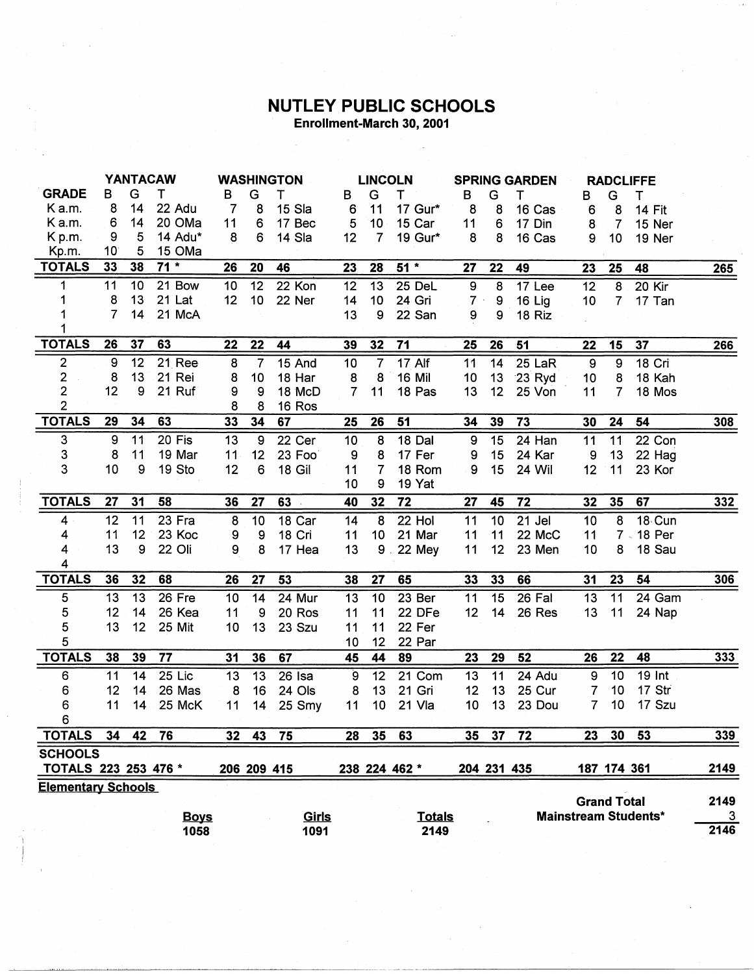## **NUTLEY PUBLIC SCHOOLS** Enrollment-March 30, 2001

 $265$ 

 $\overline{266}$ 

 $\frac{1}{308}$ 

 $\frac{1}{332}$ 

 $306$ 

 $333$ 

 $339$ 

2149

 $\sim$ 

|                                 |                 | <b>YANTACAW</b> |                 |                 |                 | <b>WASHINGTON</b> |                    | <b>LINCOLN</b>          |                 |                  |                  | <b>SPRING GARDEN</b> |                 |                 | <b>RADCLIFFE</b> |
|---------------------------------|-----------------|-----------------|-----------------|-----------------|-----------------|-------------------|--------------------|-------------------------|-----------------|------------------|------------------|----------------------|-----------------|-----------------|------------------|
| <b>GRADE</b>                    | B               | G               | т               | B               | G               | т                 | в                  | G                       | т               | в                | G                | т                    | в               | G               | т                |
| K a.m.                          | 8               | 14              | 22 Adu          | $\overline{7}$  | 8               | 15 Sla            | $\boldsymbol{6}$   | 11                      | 17 Gur*         | 8                | 8                | 16 Cas               | 6               | 8               | <b>14 Fit</b>    |
| K a.m.                          | 6               | 14              | 20 OMa          | 11              | 6               | 17 Bec            | $\overline{5}$     | 10                      | 15 Car          | 11               | 6                | 17 Din               | 8               | 7               | 15 Ner           |
| K p.m.                          | 9               | 5               | 14 Adu*         | 8               | 6               | 14 Sla            | 12                 | $\overline{7}$          | 19 Gur*         | 8                | 8                | 16 Cas               | 9               | 10              | 19 Ner           |
| Kp.m.                           | 10 <sup>°</sup> | 5               | 15 OMa          |                 |                 |                   |                    |                         |                 |                  |                  |                      |                 |                 |                  |
| <b>TOTALS</b>                   | 33              | 38              | $71 *$          | 26              | 20              | 46                | 23                 | 28                      | $51*$           | 27               | 22               | 49                   | 23              | 25              | 48               |
|                                 |                 |                 |                 |                 |                 |                   |                    |                         |                 |                  |                  |                      |                 |                 |                  |
| 1                               | $\overline{11}$ | 10              | $21$ Bow        | 10              | 12              | 22 Kon            | 12                 | $\overline{13}$         | 25 DeL          | $\boldsymbol{9}$ | $\overline{8}$   | 17 Lee               | $\overline{12}$ | $\overline{8}$  | 20 Kir           |
| 1                               | 8               | 13              | 21 Lat          | 12              | 10              | 22 Ner            | 14                 | 10 <sub>1</sub>         | 24 Gri          | 7.1              | $\boldsymbol{9}$ | 16 Lig               | 10              | $\overline{7}$  | 17 Tan           |
| 1                               | $\overline{7}$  | 14              | 21 McA          |                 |                 |                   | 13                 | 9                       | 22 San          | 9                | 9                | 18 Riz               |                 |                 |                  |
| 1                               |                 |                 |                 |                 |                 |                   |                    |                         |                 |                  |                  |                      |                 |                 |                  |
| <b>TOTALS</b>                   | 26              | 37              | 63              | 22              | $\overline{22}$ | 44                | 39                 | 32                      | 71              | 25               | 26               | 51                   | 22              | 15              | 37               |
| $\overline{2}$                  | $\overline{9}$  | $\overline{12}$ | 21 Ree          | $\overline{8}$  | $\overline{7}$  | 15 And            | 10                 | $\overline{7}$          | $17$ Alf        | 11               | 14               | 25 LaR               | $\overline{9}$  | $\overline{9}$  | 18 Cri           |
| $\overline{c}$                  | 8               | 13              | 21 Rei          | 8               | 10              | 18 Har            | 8                  | 8                       | <b>16 Mil</b>   | 10               | 13               | 23 Ryd               | 10              | 8               | 18 Kah           |
| $\overline{2}$                  | 12              | 9               | 21 Ruf          | 9               | 9               | 18 McD            | $\overline{7}$     | 11                      | 18 Pas          | 13               | 12               | 25 Von               | 11              | $\overline{7}$  | 18 Mos           |
| $\overline{2}$                  |                 |                 |                 | 8               | 8               | 16 Ros            |                    |                         |                 |                  |                  |                      |                 |                 |                  |
| <b>TOTALS</b>                   | 29              | 34              | 63              | 33              | 34              | 67                | 25                 | 26                      | 51              | 34               | 39               | $\overline{73}$      | 30              | $\overline{24}$ | 54               |
| 3                               | $\overline{9}$  | $\overline{11}$ | $20$ Fis        | $\overline{13}$ | $\overline{9}$  | 22 Cer            | 10                 | $\overline{8}$          | <b>18 Dal</b>   | $\overline{9}$   | $\overline{15}$  | $24$ Han             | 11              | $\overline{11}$ | 22 Con           |
| 3                               | 8               | 11              | 19 Mar          | 11 <sub>1</sub> | 12              | 23 Foo            | 9                  | 8                       | 17 Fer          | 9                | 15               | 24 Kar               | 9               | 13              | 22 Hag           |
| 3                               | 10              | 9               | 19 Sto          | 12              | 6               | 18 Gil            | 11                 | $\overline{7}$          | 18 Rom          | 9                | 15               | 24 Wil               | 12              | 11              | 23 Kor           |
|                                 |                 |                 |                 |                 |                 |                   | 10                 | 9                       | 19 Yat          |                  |                  |                      |                 |                 |                  |
|                                 |                 |                 |                 |                 | 27              | 63                | 40                 | 32                      | $\overline{72}$ | $\overline{27}$  | 45               | $\overline{72}$      | 32              | 35              | 67               |
| <b>TOTALS</b>                   | $\overline{27}$ | 31              | 58              | 36              |                 |                   |                    |                         |                 |                  |                  |                      |                 |                 |                  |
|                                 |                 |                 |                 |                 |                 |                   |                    |                         |                 |                  |                  |                      |                 |                 |                  |
| 4                               | 12              | 11              | 23 Fra          | 8               | 10              | $18$ Car          | 14                 | $\overline{\mathbf{8}}$ | 22 Hol          | $\overline{11}$  | 10               | $21$ Jel             | 10              | $\overline{8}$  | $18$ Cun         |
| 4                               | 11              | 12              | 23 Koc          | 9               | 9               | 18 Cri            | 11                 | 10                      | 21 Mar          | 11               | 11               | 22 McC               | 11              |                 | 7 - 18 Per       |
| 4                               | 13              | 9               | 22 Oli          | 9               | 8               | 17 Hea            | 13                 |                         | 9.22 Mey        | 11               | 12               | 23 Men               | 10              | 8               | 18 Sau           |
| 4<br><b>TOTALS</b>              | 36              | 32              | 68              | 26              | 27              | 53                | 38                 | 27                      | 65              | 33               | 33               | 66                   | 31              | $\overline{23}$ | 54               |
|                                 |                 |                 |                 |                 |                 |                   |                    |                         |                 |                  |                  |                      |                 |                 |                  |
| 5                               | 13              | $\overline{13}$ | 26 Fre          | 10              | 14              | 24 Mur            | 13                 | 10                      | 23 Ber          | 11               | 15               | 26 Fal               | 13              | 11              | 24 Gam           |
| 5                               | 12              | 14              | 26 Kea          | 11              | 9               | 20 Ros            | 11                 | 11                      | 22 DFe          | 12               | 14               | 26 Res               | 13              | 11              | 24 Nap           |
| 5                               | 13              | 12              | 25 Mit          | 10              | 13              | 23 Szu            | 11                 | 11                      | 22 Fer          |                  |                  |                      |                 |                 |                  |
| 5                               | 38              | 39              | $\overline{77}$ | 31              | 36              | 67                | 10<br>45           | 12<br>$\overline{44}$   | 22 Par<br>89    | 23               | 29               | 52                   | $\overline{26}$ | $\overline{22}$ | 48               |
| <b>TOTALS</b>                   |                 |                 |                 |                 |                 |                   |                    |                         |                 |                  |                  |                      |                 |                 |                  |
| 6                               | 11              | 14              | $25$ Lic        | 13              | $\overline{13}$ | $26$ Isa          | $\mathbf{\hat{9}}$ | $\overline{12}$         | $21$ Com        | 13               | 11               | 24 Adu               | 9               | $\overline{10}$ | $19$ Int         |
| 6                               | 12              | 14              | 26 Mas          | 8               | 16              | 24 Ols            | 8                  | 13                      | 21 Gri          | 12               | 13               | 25 Cur               | 7               | 10              | 17 Str           |
| 6                               | 11              | 14              | 25 McK          | 11              | 14              | 25 Smy            | 11                 | 10 <sub>1</sub>         | 21 Vla          | 10               | 13               | 23 Dou               | $\overline{7}$  | 10              | 17 Szu           |
| 6                               |                 |                 |                 |                 |                 |                   |                    |                         |                 |                  |                  |                      |                 |                 |                  |
| <b>TOTALS</b><br><b>SCHOOLS</b> | 34              | 42              | 76              | 32              | 43              | 75                | 28                 | 35                      | 63              | 35               | 37               | 72                   | 23              | 30              | 53               |

**Elementary Schools** 

| <b>Mainstream Students*</b><br>Girls<br>Totals<br><u>Boys</u> | 2149 |
|---------------------------------------------------------------|------|
|                                                               |      |
| 2149<br>1058<br>1091                                          | 2146 |